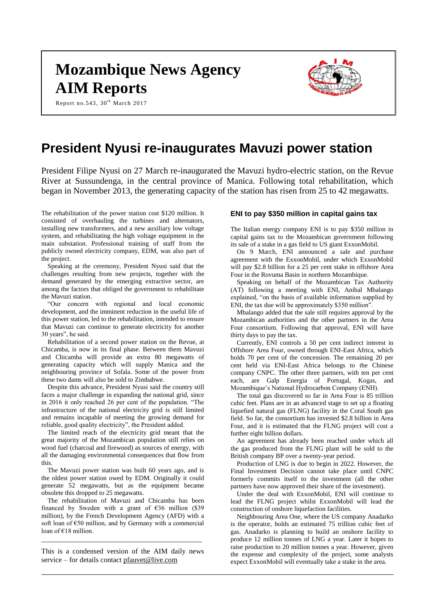# **Mozambique News Agency AIM Reports**

Report no.543,  $30<sup>th</sup>$  March 2017



# **President Nyusi re-inaugurates Mavuzi power station**

President Filipe Nyusi on 27 March re-inaugurated the Mavuzi hydro-electric station, on the Revue River at Sussundenga, in the central province of Manica. Following total rehabilitation, which began in November 2013, the generating capacity of the station has risen from 25 to 42 megawatts.

The rehabilitation of the power station cost \$120 million. It consisted of overhauling the turbines and alternators, installing new transformers, and a new auxiliary low voltage system, and rehabilitating the high voltage equipment in the main substation. Professional training of staff from the publicly owned electricity company, EDM, was also part of the project.

Speaking at the ceremony, President Nyusi said that the challenges resulting from new projects, together with the demand generated by the emerging extractive sector, are among the factors that obliged the government to rehabilitate the Mavuzi station.

"Our concern with regional and local economic development, and the imminent reduction in the useful life of this power station, led to the rehabilitation, intended to ensure that Mavuzi can continue to generate electricity for another 30 years", he said.

Rehabilitation of a second power station on the Revue, at Chicamba, is now in its final phase. Between them Mavuzi and Chicamba will provide an extra 80 megawatts of generating capacity which will supply Manica and the neighbouring province of Sofala. Some of the power from these two dams will also be sold to Zimbabwe.

Despite this advance, President Nyusi said the country still faces a major challenge in expanding the national grid, since in 2016 it only reached 26 per cent of the population. "The infrastructure of the national electricity grid is still limited and remains incapable of meeting the growing demand for reliable, good quality electricity", the President added.

The limited reach of the electricity grid meant that the great majority of the Mozambican population still relies on wood fuel (charcoal and firewood) as sources of energy, with all the damaging environmental consequences that flow from this.

The Mavuzi power station was built 60 years ago, and is the oldest power station owed by EDM. Originally it could generate 52 megawatts, but as the equipment became obsolete this dropped to 25 megawatts.

The rehabilitation of Mavuzi and Chicamba has been financed by Sweden with a grant of  $\epsilon$ 36 million (\$39) million), by the French Development Agency (AFD) with a soft loan of €50 million, and by Germany with a commercial loan of €18 million.

This is a condensed version of the AIM daily news service – for details contact [pfauvet@live.com](mailto:pfauvet@live.com)

\_\_\_\_\_\_\_\_\_\_\_\_\_\_\_\_\_\_\_\_\_\_\_\_\_\_\_\_\_\_\_\_\_\_\_\_\_\_\_\_\_\_\_\_

# **ENI to pay \$350 million in capital gains tax**

The Italian energy company ENI is to pay \$350 million in capital gains tax to the Mozambican government following its sale of a stake in a gas field to US giant ExxonMobil.

On 9 March, ENI announced a sale and purchase agreement with the ExxonMobil, under which ExxonMobil will pay \$2.8 billion for a 25 per cent stake in offshore Area Four in the Rovuma Basin in northern Mozambique.

Speaking on behalf of the Mozambican Tax Authority (AT) following a meeting with ENI, Anibal Mbalango explained, "on the basis of available information supplied by ENI, the tax due will be approximately \$350 million".

Mbalango added that the sale still requires approval by the Mozambican authorities and the other partners in the Area Four consortium. Following that approval, ENI will have thirty days to pay the tax.

Currently, ENI controls a 50 per cent indirect interest in Offshore Area Four, owned through ENI-East Africa, which holds 70 per cent of the concession. The remaining 20 per cent held via ENI-East Africa belongs to the Chinese company CNPC. The other three partners, with ten per cent each, are Galp Energia of Portugal, Kogas, and Mozambique's National Hydrocarbon Company (ENH).

The total gas discovered so far in Area Four is 85 trillion cubic feet. Plans are in an advanced stage to set up a floating liquefied natural gas (FLNG) facility in the Coral South gas field. So far, the consortium has invested \$2.8 billion in Area Four, and it is estimated that the FLNG project will cost a further eight billion dollars.

An agreement has already been reached under which all the gas produced from the FLNG plant will be sold to the British company BP over a twenty-year period.

Production of LNG is due to begin in 2022. However, the Final Investment Decision cannot take place until CNPC formerly commits itself to the investment (all the other partners have now approved their share of the investment).

Under the deal with ExxonMobil, ENI will continue to lead the FLNG project whilst ExxonMobil will lead the construction of onshore liquefaction facilities.

Neighbouring Area One, where the US company Anadarko is the operator, holds an estimated 75 trillion cubic feet of gas. Anadarko is planning to build an onshore facility to produce 12 million tonnes of LNG a year. Later it hopes to raise production to 20 million tonnes a year. However, given the expense and complexity of the project, some analysts expect ExxonMobil will eventually take a stake in the area.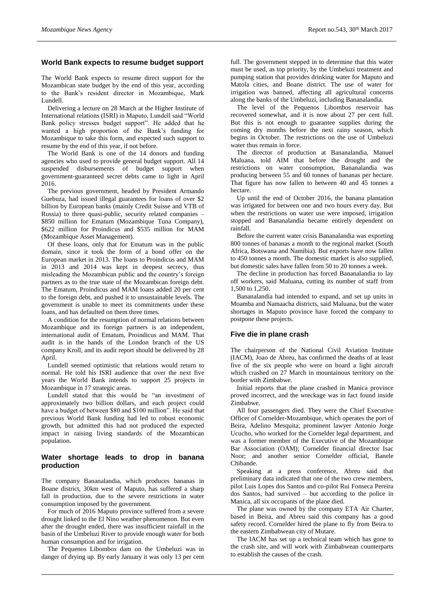# **World Bank expects to resume budget support**

The World Bank expects to resume direct support for the Mozambican state budget by the end of this year, according to the Bank's resident director in Mozambique, Mark Lundell.

Delivering a lecture on 28 March at the Higher Institute of International relations (ISRI) in Maputo, Lundell said "World Bank policy stresses budget support". He added that he wanted a high proportion of the Bank's funding for Mozambique to take this form, and expected such support to resume by the end of this year, if not before.

The World Bank is one of the 14 donors and funding agencies who used to provide general budget support. All 14 suspended disbursements of budget support when government-guaranteed secret debts came to light in April 2016.

The previous government, headed by President Armando Guebuza, had issued illegal guarantees for loans of over \$2 billion by European banks (mainly Credit Suisse and VTB of Russia) to three quasi-public, security related companies – \$850 million for Ematum (Mozambique Tuna Company), \$622 million for Proindicus and \$535 million for MAM (Mozambique Asset Management).

Of these loans, only that for Ematum was in the public domain, since it took the form of a bond offer on the European market in 2013. The loans to Proindicus and MAM in 2013 and 2014 was kept in deepest secrecy, thus misleading the Mozambican public and the country's foreign partners as to the true state of the Mozambican foreign debt. The Ematum, Proindicus and MAM loans added 20 per cent to the foreign debt, and pushed it to unsustainable levels. The government is unable to meet its commitments under these loans, and has defaulted on them three times.

A condition for the resumption of normal relations between Mozambique and its foreign partners is an independent, international audit of Ematum, Proindicus and MAM. That audit is in the hands of the London branch of the US company Kroll, and its audit report should be delivered by 28 April.

Lundell seemed optimistic that relations would return to normal. He told his ISRI audience that over the next five years the World Bank intends to support 25 projects in Mozambique in 17 strategic areas.

Lundell stated that this would be "an investment of approximately two billion dollars, and each project could have a budget of between \$80 and \$100 million". He said that previous World Bank funding had led to robust economic growth, but admitted this had not produced the expected impact in raising living standards of the Mozambican population.

# **Water shortage leads to drop in banana production**

The company Bananalandia, which produces bananas in Boane district, 30km west of Maputo, has suffered a sharp fall in production, due to the severe restrictions in water consumption imposed by the government.

For much of 2016 Maputo province suffered from a severe drought linked to the El Nino weather phenomenon. But even after the drought ended, there was insufficient rainfall in the basin of the Umbeluzi River to provide enough water for both human consumption and for irrigation.

The Pequenos Libombos dam on the Umbeluzi was in danger of drying up. By early January it was only 13 per cent full. The government stepped in to determine that this water must be used, as top priority, by the Umbeluzi treatment and pumping station that provides drinking water for Maputo and Matola cities, and Boane district. The use of water for irrigation was banned, affecting all agricultural concerns along the banks of the Umbeluzi, including Bananalandia.

The level of the Pequenos Libombos reservoir has recovered somewhat, and it is now about 27 per cent full. But this is not enough to guarantee supplies during the coming dry months before the next rainy season, which begins in October. The restrictions on the use of Umbeluzi water thus remain in force.

The director of production at Bananalandia, Manuel Maluana, told AIM that before the drought and the restrictions on water consumption, Bananalandia was producing between 55 and 60 tonnes of bananas per hectare. That figure has now fallen to between 40 and 45 tonnes a hectare.

Up until the end of October 2016, the banana plantation was irrigated for between one and two hours every day. But when the restrictions on water use were imposed, irrigation stopped and Bananalandia became entirely dependent on rainfall.

Before the current water crisis Bananalandia was exporting 800 tonnes of bananas a month to the regional market (South Africa, Botswana and Namibia). But exports have now fallen to 450 tonnes a month. The domestic market is also supplied, but domestic sales have fallen from 50 to 20 tonnes a week.

The decline in production has forced Bananalandia to lay off workers, said Maluana, cutting its number of staff from 1,500 to 1,250.

Bananalandia had intended to expand, and set up units in Moamba and Namaacha districts, said Maluana, but the water shortages in Maputo province have forced the company to postpone these projects.

# **Five die in plane crash**

The chairperson of the National Civil Aviation Institute (IACM), Joao de Abreu, has confirmed the deaths of at least five of the six people who were on board a light aircraft which crashed on 27 March in mountainous territory on the border with Zimbabwe.

Initial reports that the plane crashed in Manica province proved incorrect, and the wreckage was in fact found inside Zimbabwe.

All four passengers died. They were the Chief Executive Officer of Cornelder-Mozambique, which operates the port of Beira, Adelino Mesquita; prominent lawyer Antonio Jorge Ucucho, who worked for the Cornelder legal department, and was a former member of the Executive of the Mozambique Bar Association (OAM); Cornelder financial director Isac Noor; and another senior Cornelder official, Banele Chibande.

Speaking at a press conference, Abreu said that preliminary data indicated that one of the two crew members, pilot Luis Lopes dos Santos and co-pilot Rui Fonseca Pereira dos Santos, had survived – but according to the police in Manica, all six occupants of the plane died.

The plane was owned by the company ETA Air Charter, based in Beira, and Abreu said this company has a good safety record. Cornelder hired the plane to fly from Beira to the eastern Zimbabwean city of Mutare.

The IACM has set up a technical team which has gone to the crash site, and will work with Zimbabwean counterparts to establish the causes of the crash.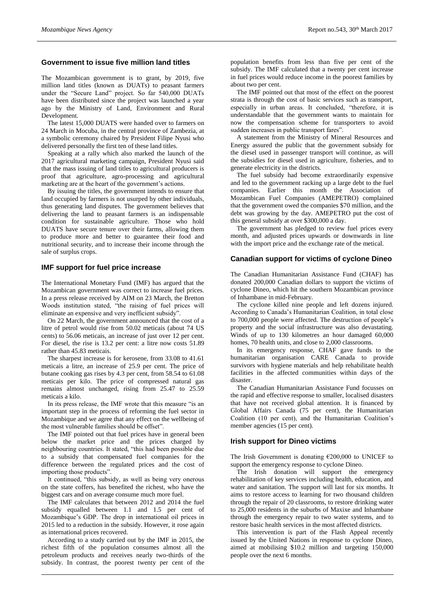# **Government to issue five million land titles**

The Mozambican government is to grant, by 2019, five million land titles (known as DUATs) to peasant farmers under the "Secure Land" project. So far 540,000 DUATs have been distributed since the project was launched a year ago by the Ministry of Land, Environment and Rural Development.

The latest 15,000 DUATS were handed over to farmers on 24 March in Mocuba, in the central province of Zambezia, at a symbolic ceremony chaired by President Filipe Nyusi who delivered personally the first ten of these land titles.

Speaking at a rally which also marked the launch of the 2017 agricultural marketing campaign, President Nyusi said that the mass issuing of land titles to agricultural producers is proof that agriculture, agro-processing and agricultural marketing are at the heart of the government's actions.

By issuing the titles, the government intends to ensure that land occupied by farmers is not usurped by other individuals, thus generating land disputes. The government believes that delivering the land to peasant farmers is an indispensable condition for sustainable agriculture. Those who hold DUATS have secure tenure over their farms, allowing them to produce more and better to guarantee their food and nutritional security, and to increase their income through the sale of surplus crops.

#### **IMF support for fuel price increase**

The International Monetary Fund (IMF) has argued that the Mozambican government was correct to increase fuel prices. In a press release received by AIM on 23 March, the Bretton Woods institution stated, "the raising of fuel prices will eliminate an expensive and very inefficient subsidy".

On 22 March, the government announced that the cost of a litre of petrol would rise from 50.02 meticais (about 74 US cents) to 56.06 meticais, an increase of just over 12 per cent. For diesel, the rise is 13.2 per cent: a litre now costs 51.89 rather than 45.83 meticais.

The sharpest increase is for kerosene, from 33.08 to 41.61 meticais a litre, an increase of 25.9 per cent. The price of butane cooking gas rises by 4.3 per cent, from 58.54 to 61.08 meticais per kilo. The price of compressed natural gas remains almost unchanged, rising from 25.47 to 25.59 meticais a kilo.

In its press release, the IMF wrote that this measure "is an important step in the process of reforming the fuel sector in Mozambique and we agree that any effect on the wellbeing of the most vulnerable families should be offset".

The IMF pointed out that fuel prices have in general been below the market price and the prices charged by neighbouring countries. It stated, "this had been possible due to a subsidy that compensated fuel companies for the difference between the regulated prices and the cost of importing those products".

It continued, "this subsidy, as well as being very onerous on the state coffers, has benefited the richest, who have the biggest cars and on average consume much more fuel.

The IMF calculates that between 2012 and 2014 the fuel subsidy equalled between 1.1 and 1.5 per cent of Mozambique's GDP. The drop in international oil prices in 2015 led to a reduction in the subsidy. However, it rose again as international prices recovered.

According to a study carried out by the IMF in 2015, the richest fifth of the population consumes almost all the petroleum products and receives nearly two-thirds of the subsidy. In contrast, the poorest twenty per cent of the population benefits from less than five per cent of the subsidy. The IMF calculated that a twenty per cent increase in fuel prices would reduce income in the poorest families by about two per cent.

The IMF pointed out that most of the effect on the poorest strata is through the cost of basic services such as transport, especially in urban areas. It concluded, "therefore, it is understandable that the government wants to maintain for now the compensation scheme for transporters to avoid sudden increases in public transport fares".

A statement from the Ministry of Mineral Resources and Energy assured the public that the government subsidy for the diesel used in passenger transport will continue, as will the subsidies for diesel used in agriculture, fisheries, and to generate electricity in the districts.

The fuel subsidy had become extraordinarily expensive and led to the government racking up a large debt to the fuel companies. Earlier this month the Association of Mozambican Fuel Companies (AMEPETRO) complained that the government owed the companies \$70 million, and the debt was growing by the day. AMEPETRO put the cost of this general subsidy at over \$300,000 a day.

The government has pledged to review fuel prices every month, and adjusted prices upwards or downwards in line with the import price and the exchange rate of the metical.

# **Canadian support for victims of cyclone Dineo**

The Canadian Humanitarian Assistance Fund (CHAF) has donated 200,000 Canadian dollars to support the victims of cyclone Dineo, which hit the southern Mozambican province of Inhambane in mid-February.

The cyclone killed nine people and left dozens injured. According to Canada's Humanitarian Coalition, in total close to 700,000 people were affected. The destruction of people's property and the social infrastructure was also devastating. Winds of up to 130 kilometres an hour damaged 60,000 homes, 70 health units, and close to 2,000 classrooms.

In its emergency response, CHAF gave funds to the humanitarian organisation CARE Canada to provide survivors with hygiene materials and help rehabilitate health facilities in the affected communities within days of the disaster.

The Canadian Humanitarian Assistance Fund focusses on the rapid and effective response to smaller, localised disasters that have not received global attention. It is financed by Global Affairs Canada (75 per cent), the Humanitarian Coalition (10 per cent), and the Humanitarian Coalition's member agencies (15 per cent).

#### **Irish support for Dineo victims**

The Irish Government is donating  $£200,000$  to UNICEF to support the emergency response to cyclone Dineo.

The Irish donation will support the emergency rehabilitation of key services including health, education, and water and sanitation. The support will last for six months. It aims to restore access to learning for two thousand children through the repair of 20 classrooms, to restore drinking water to 25,000 residents in the suburbs of Maxixe and Inhambane through the emergency repair to two water systems, and to restore basic health services in the most affected districts.

This intervention is part of the Flash Appeal recently issued by the United Nations in response to cyclone Dineo, aimed at mobilising \$10.2 million and targeting 150,000 people over the next 6 months.